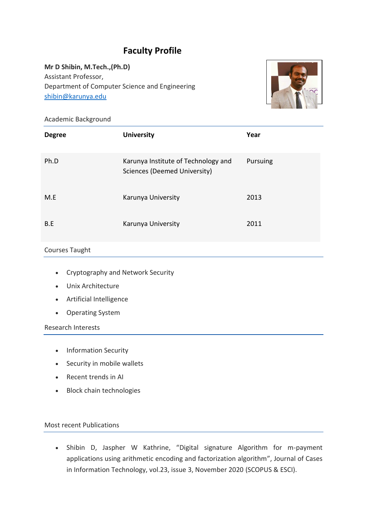# **Faculty Profile**

**Mr D Shibin, M.Tech.,(Ph.D)** Assistant Professor, Department of Computer Science and Engineering [shibin@karunya.edu](mailto:shibin@karunya.edu)



#### Academic Background

| <b>Degree</b> | <b>University</b>                                                   | Year     |
|---------------|---------------------------------------------------------------------|----------|
| Ph.D          | Karunya Institute of Technology and<br>Sciences (Deemed University) | Pursuing |
| M.E           | Karunya University                                                  | 2013     |
| B.E           | Karunya University                                                  | 2011     |

#### Courses Taught

- Cryptography and Network Security
- Unix Architecture
- Artificial Intelligence
- Operating System

Research Interests

- Information Security
- Security in mobile wallets
- Recent trends in AI
- Block chain technologies

### Most recent Publications

• Shibin D, Jaspher W Kathrine, "Digital signature Algorithm for m-payment applications using arithmetic encoding and factorization algorithm", Journal of Cases in Information Technology, vol.23, issue 3, November 2020 (SCOPUS & ESCI).